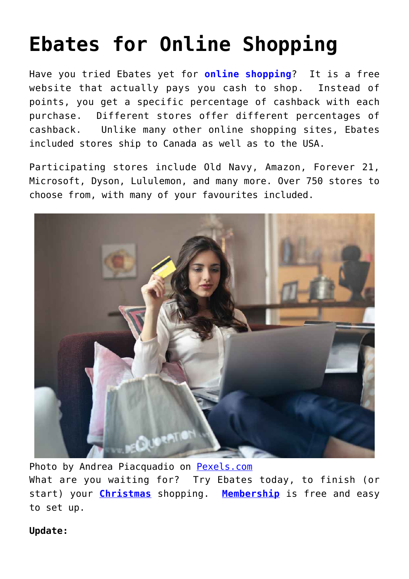## **[Ebates for Online Shopping](https://loreeebee.ca/2017/12/13/shop-online-ebates/)**

Have you tried Ebates yet for **online shopping**? It is a free website that actually pays you cash to shop. Instead of points, you get a specific percentage of cashback with each purchase. Different stores offer different percentages of cashback. Unlike many other online shopping sites, Ebates included stores ship to Canada as well as to the USA.

Participating stores include Old Navy, Amazon, Forever 21, Microsoft, Dyson, Lululemon, and many more. Over 750 stores to choose from, with many of your favourites included.



Photo by Andrea Piacquadio on [Pexels.com](https://www.pexels.com/photo/woman-holding-card-while-operating-silver-laptop-919436/) What are you waiting for? Try Ebates today, to finish (or start) your **[Christmas](https://loreeebee.ca/2020/12/04/its-beginning-to-look-a-lot-like-christmas/)** shopping. **[Membership](https://www.ebates.ca/referrer?referrerid=y3FOydnudJI%3D)** is free and easy to set up.

## **Update:**